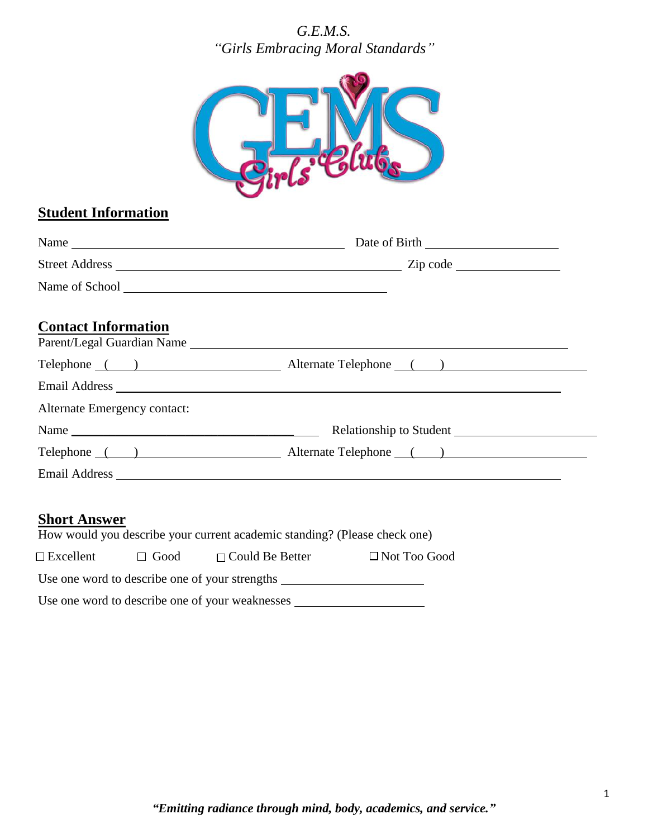### *G.E.M.S. "Girls Embracing Moral Standards"*



# **Student Information**

| Name of School <u>and a series of the series of series of series and the series of series of series of series of series of series of series of series of series of series of series of series of series of series of series of s</u> |  |
|--------------------------------------------------------------------------------------------------------------------------------------------------------------------------------------------------------------------------------------|--|
|                                                                                                                                                                                                                                      |  |
| Telephone () Alternate Telephone () Alternate Telephone ()                                                                                                                                                                           |  |
|                                                                                                                                                                                                                                      |  |
|                                                                                                                                                                                                                                      |  |
|                                                                                                                                                                                                                                      |  |
| Telephone () Alternate Telephone () Alternate Telephone ()                                                                                                                                                                           |  |
| Email Address Land and Secretary and Secretary and Secretary and Secretary and Secretary and Secretary and Secretary and Secretary and Secretary and Secretary and Secretary and Secretary and Secretary and Secretary and Sec       |  |
|                                                                                                                                                                                                                                      |  |

## **Short Answer**

|                                                |             | How would you describe your current academic standing? (Please check one) |                     |  |  |  |
|------------------------------------------------|-------------|---------------------------------------------------------------------------|---------------------|--|--|--|
| $\square$ Excellent                            | $\Box$ Good | $\Box$ Could Be Better                                                    | $\Box$ Not Too Good |  |  |  |
| Use one word to describe one of your strengths |             |                                                                           |                     |  |  |  |
|                                                |             | Use one word to describe one of your weaknesses                           |                     |  |  |  |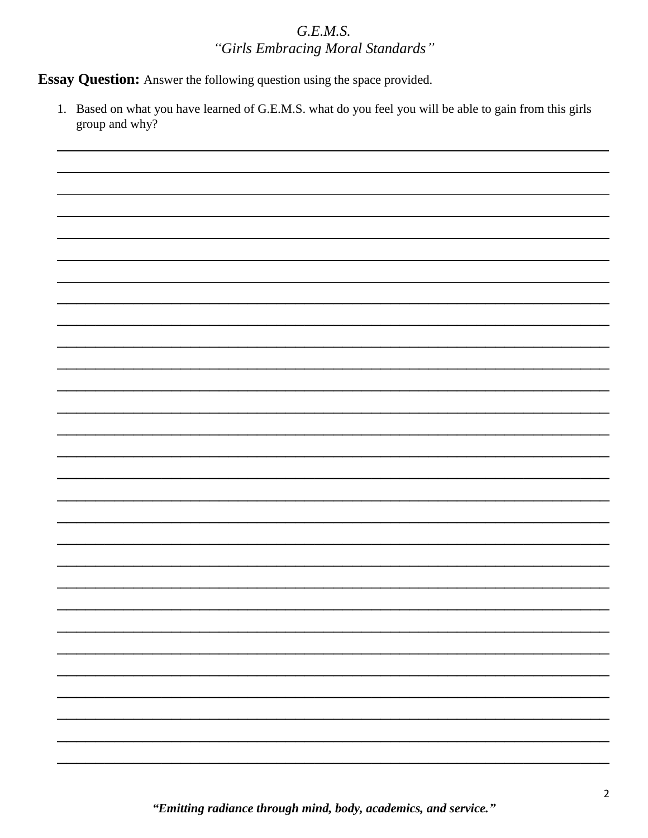### $G.E.M.S.$ "Girls Embracing Moral Standards"

Essay Question: Answer the following question using the space provided.

1. Based on what you have learned of G.E.M.S. what do you feel you will be able to gain from this girls group and why?

"Emitting radiance through mind, body, academics, and service."